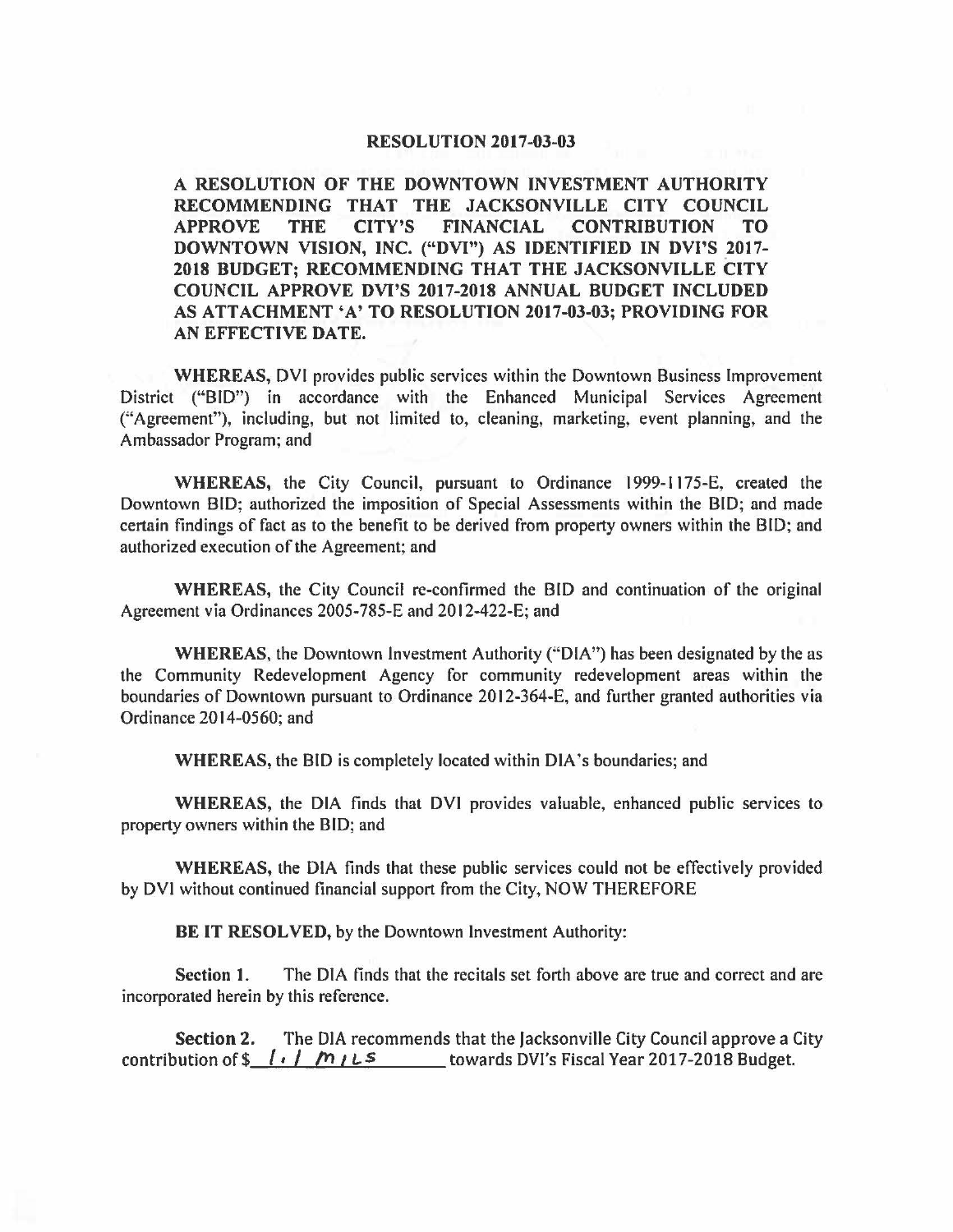## **RESOLUTION 2017-03-03**

**A RESOLUTION OF THE DOWNTOWN INVESTMENT AUTHORITY RECOMMENDING THAT THE JACKSONVILLE CITY COUNCIL APPROVE THE CITY'S FINANCIAL CONTRIBUTION TO DOWNTOWN VISION, INC. ("DVI") AS IDENTIFIED IN DVl'S .2017- 2018 BUDGET; RECOMMENDING THAT THE JACKSONVILLE CITY COUNCIL APPROVE DVl'S 2017-2018 ANNUAL BUDGET INCLUDED AS ATTACHMENT 'A' TO RESOLUTION 2017-03-03; PROVIDING FOR AN EFFECTIVE DATE.** 

**WHEREAS,** DVI provides public services within the Downtown Business Improvement District ("BID") in accordance with the Enhanced Municipal Services Agreement ("Agreement"), including, but not limited to, cleaning, marketing, event planning, and the Ambassador Program; and

**WHEREAS,** the City Council, pursuant to Ordinance 1999-1175-E, created the Downtown BID; authorized the imposition of Special Assessments within the BID; and made certain findings of fact as to the benefit to be derived from property owners within the BID; and authorized execution of the Agreement; and

**WHEREAS,** the City Council re-confirmed the BID and continuation of the original Agreement via Ordinances 2005-785-E and 2012-422-E; and

**WHEREAS,** the Downtown Investment Authority ("DIA") has been designated by the as the Community Redevelopment Agency for community redevelopment areas within the boundaries of Downtown pursuant to Ordinance 2012-364-E, and further granted authorities via Ordinance 2014-0560; and

**WHEREAS, the BID is completely located within DIA's boundaries; and** 

**WHEREAS,** the DIA finds that DVI provides valuable, enhanced public services to property owners within the BID; and

**WHEREAS,** the DIA finds that these public services could not be effectively provided by DVI without continued financial support from the City, NOW THEREFORE

**BE IT RESOLVED,** by the Downtown Investment Authority:

**Section 1.** The DIA finds that the recitals set forth above are true and correct and are incorporated herein by this reference.

**Section 2.** The DIA recommends that the Jacksonville City Council approve a City contribution of  $\frac{\sqrt{1+i} + \sqrt{1+i}}{\sqrt{1+i}}$  towards DVI's Fiscal Year 2017-2018 Budget.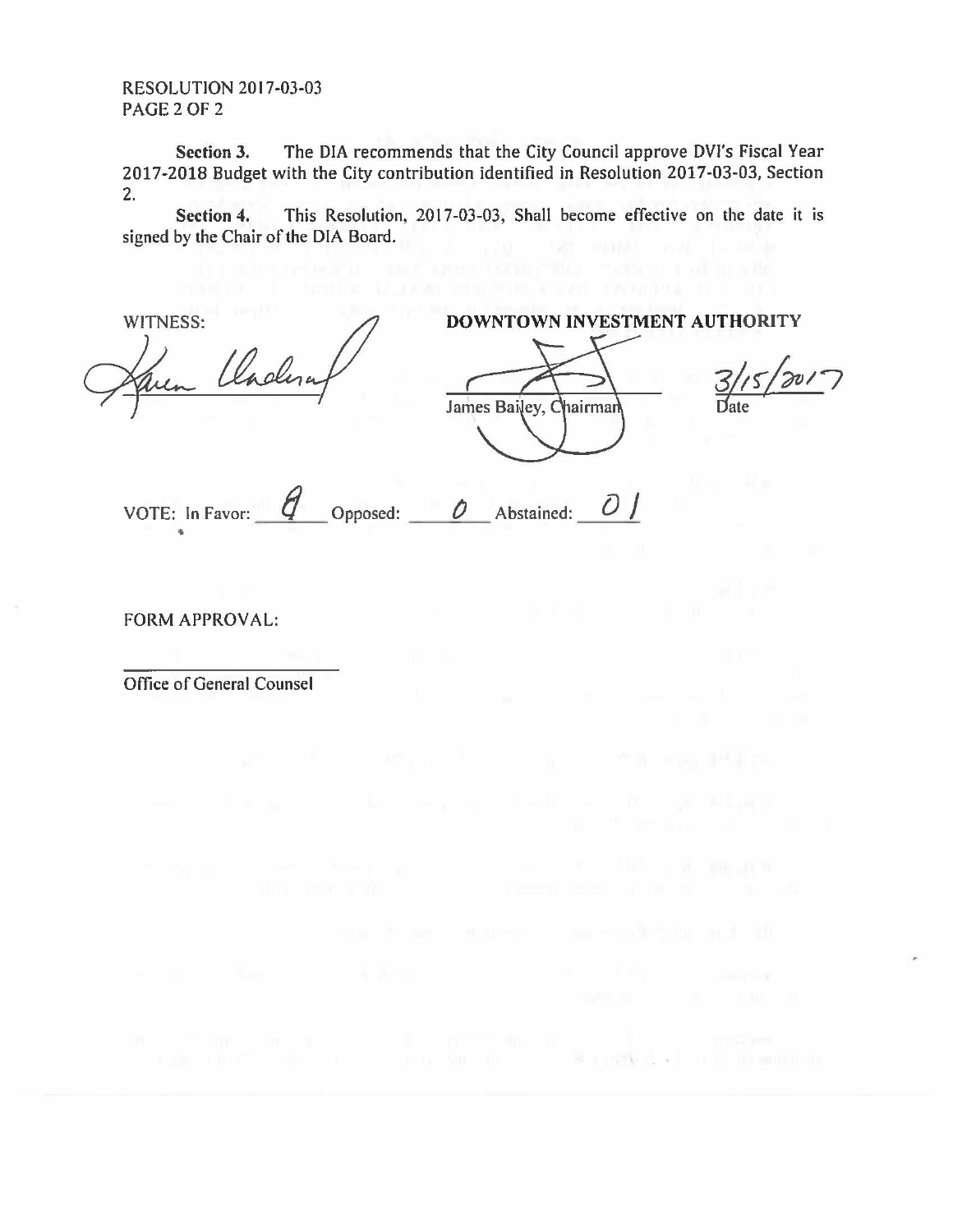RESOLUTION 2017-03-03 PAGE 2 OF 2

Section 3. The DIA recommends that the City Council approve DVl's Fiscal Year 2017-2018 Budget with the City contribution identified in Resolution 2017-03-03, Section 2.

**Section 4.** This Resolution, 2017-03-03, Shall become effective on the date it is signed by the Chair of the DIA Board.

| WITNESS:<br>Karen Claderat  | DOWNTOWN INVESTMENT AUTHORITY<br>James Bailey, Chairman<br>Date |
|-----------------------------|-----------------------------------------------------------------|
| VOTE: In Favor:<br>Opposed: | Abstained:                                                      |

FORM APPROVAL:

Office of General Counsel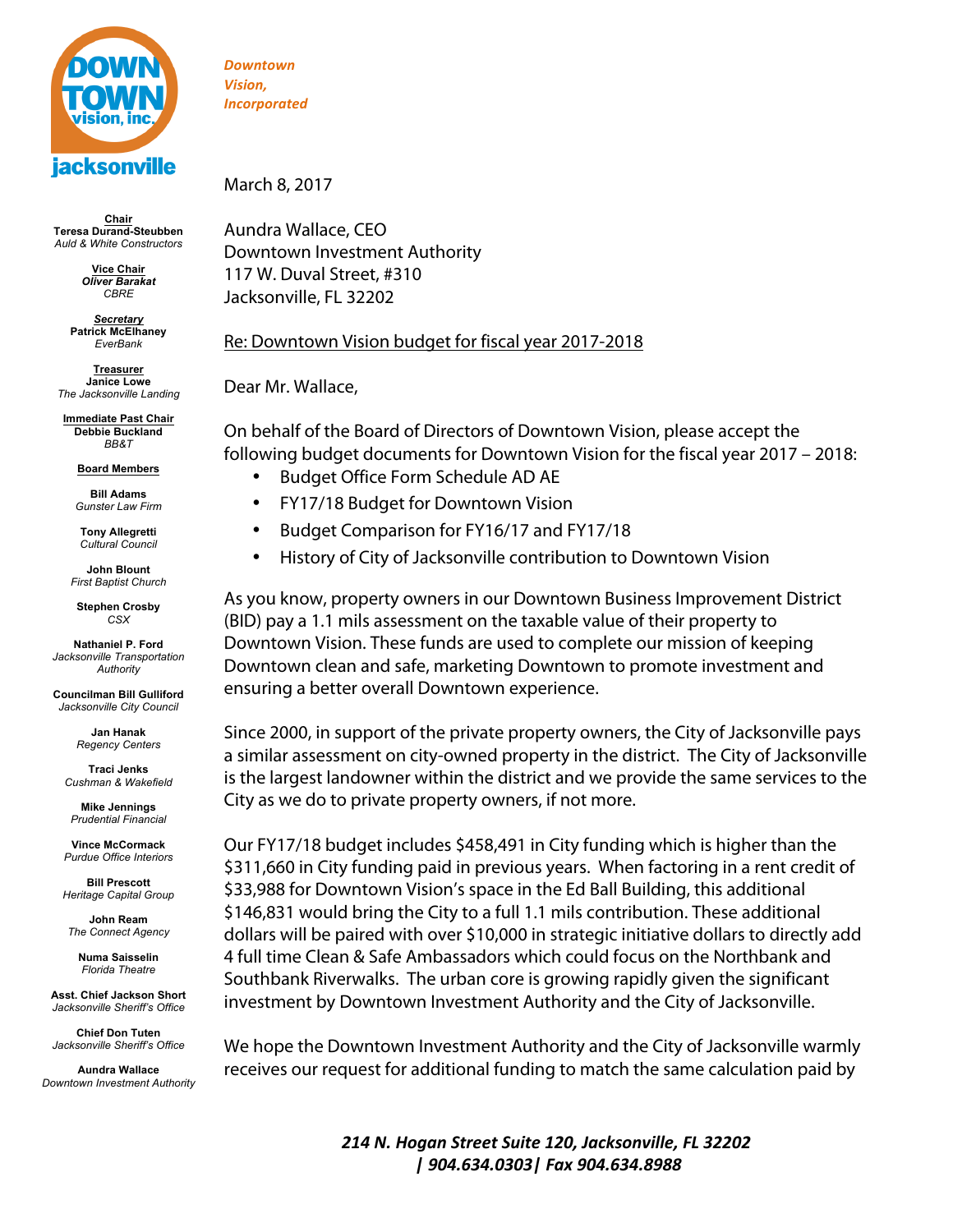

**Chair Teresa Durand-Steubben** *Auld & White Constructors*

> **Vice Chair** *Oliver Barakat CBRE*

*Secretary* **Patrick McElhaney** *EverBank*

**Treasurer Janice Lowe** *The Jacksonville Landing*

**Immediate Past Chair Debbie Buckland** *BB&T*

**Board Members**

**Bill Adams** *Gunster Law Firm*

**Tony Allegretti** *Cultural Council* 

**John Blount** *First Baptist Church*

**Stephen Crosby** *CSX*

**Nathaniel P. Ford** *Jacksonville Transportation Authority*

**Councilman Bill Gulliford** *Jacksonville City Council*

> **Jan Hanak** *Regency Centers*

**Traci Jenks** *Cushman & Wakefield*

**Mike Jennings** *Prudential Financial*

**Vince McCormack** *Purdue Office Interiors*

**Bill Prescott** *Heritage Capital Group*

**John Ream** *The Connect Agency*

> **Numa Saisselin** *Florida Theatre*

**Asst. Chief Jackson Short** *Jacksonville Sheriff's Office*

**Chief Don Tuten** *Jacksonville Sheriff's Office*

**Aundra Wallace** *Downtown Investment Authority*

*Downtown Vision, Incorporated*

March 8, 2017

Aundra Wallace, CEO Downtown Investment Authority 117 W. Duval Street, #310 Jacksonville, FL 32202

## Re: Downtown Vision budget for fiscal year 2017-2018

Dear Mr. Wallace,

On behalf of the Board of Directors of Downtown Vision, please accept the following budget documents for Downtown Vision for the fiscal year 2017 – 2018:

- Budget Office Form Schedule AD AE
- FY17/18 Budget for Downtown Vision
- Budget Comparison for FY16/17 and FY17/18
- History of City of Jacksonville contribution to Downtown Vision

As you know, property owners in our Downtown Business Improvement District (BID) pay a 1.1 mils assessment on the taxable value of their property to Downtown Vision. These funds are used to complete our mission of keeping Downtown clean and safe, marketing Downtown to promote investment and ensuring a better overall Downtown experience.

Since 2000, in support of the private property owners, the City of Jacksonville pays a similar assessment on city-owned property in the district. The City of Jacksonville is the largest landowner within the district and we provide the same services to the City as we do to private property owners, if not more.

Our FY17/18 budget includes \$458,491 in City funding which is higher than the \$311,660 in City funding paid in previous years. When factoring in a rent credit of \$33,988 for Downtown Vision's space in the Ed Ball Building, this additional \$146,831 would bring the City to a full 1.1 mils contribution. These additional dollars will be paired with over \$10,000 in strategic initiative dollars to directly add 4 full time Clean & Safe Ambassadors which could focus on the Northbank and Southbank Riverwalks. The urban core is growing rapidly given the significant investment by Downtown Investment Authority and the City of Jacksonville.

We hope the Downtown Investment Authority and the City of Jacksonville warmly receives our request for additional funding to match the same calculation paid by

> *214 N. Hogan Street Suite 120, Jacksonville, FL 32202 | 904.634.0303| Fax 904.634.8988*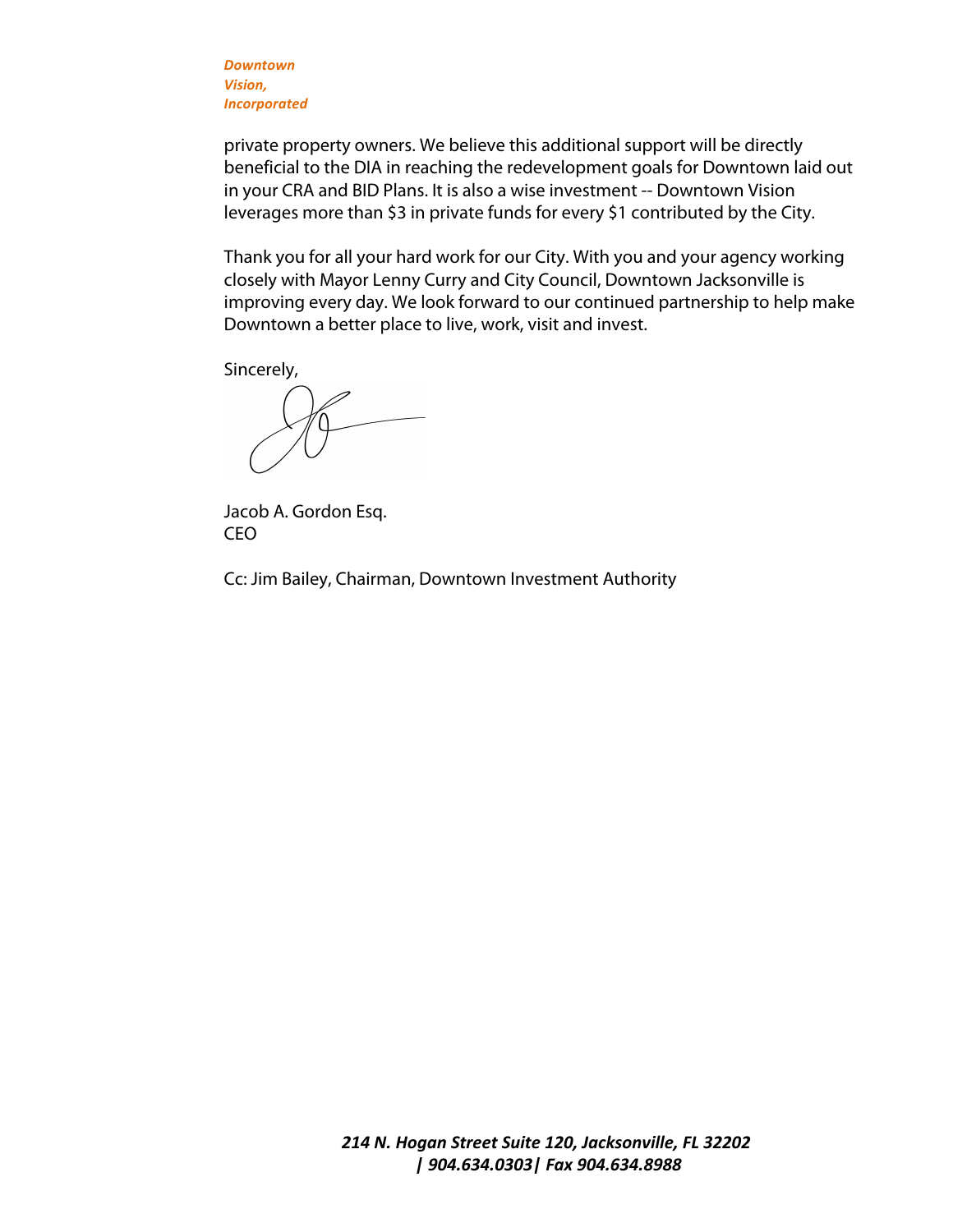*Downtown Vision, Incorporated*

private property owners. We believe this additional support will be directly beneficial to the DIA in reaching the redevelopment goals for Downtown laid out in your CRA and BID Plans. It is also a wise investment -- Downtown Vision leverages more than \$3 in private funds for every \$1 contributed by the City.

Thank you for all your hard work for our City. With you and your agency working closely with Mayor Lenny Curry and City Council, Downtown Jacksonville is improving every day. We look forward to our continued partnership to help make Downtown a better place to live, work, visit and invest.

Sincerely,

Jacob A. Gordon Esq. CEO

Cc: Jim Bailey, Chairman, Downtown Investment Authority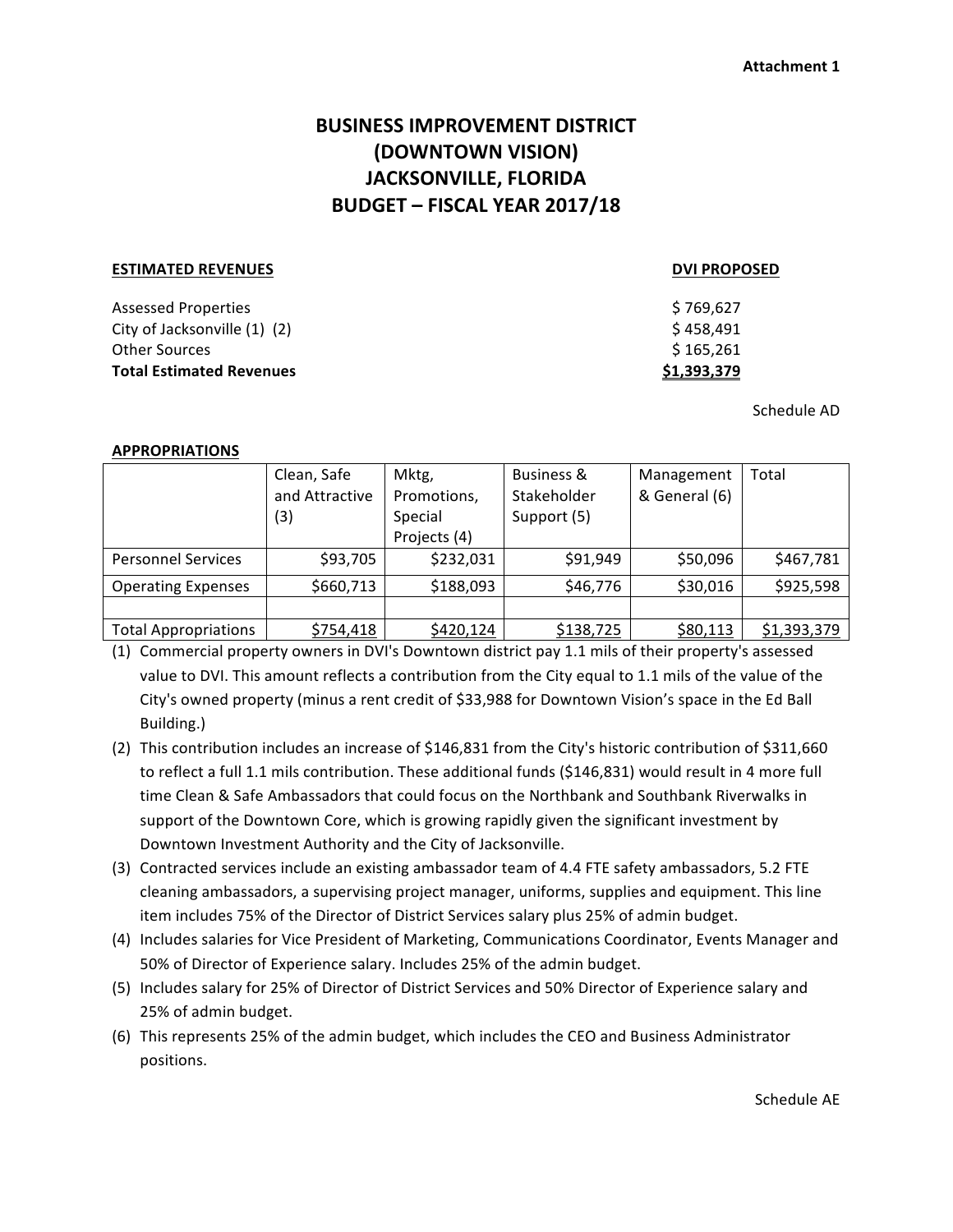# **BUSINESS IMPROVEMENT DISTRICT (DOWNTOWN VISION) JACKSONVILLE, FLORIDA BUDGET – FISCAL YEAR 2017/18**

### **ESTIMATED REVENUES DVI PROPOSED**

Assessed Properties City of Jacksonville  $(1)$   $(2)$ Other Sources **Total Estimated Revenues <b>S** 

| \$769,627<br>\$458,491 |  |
|------------------------|--|
| \$ 165,261             |  |
|                        |  |

Schedule AD

## **APPROPRIATIONS**

|                             | Clean, Safe    | Mktg,        | Business &  | Management    | Total       |
|-----------------------------|----------------|--------------|-------------|---------------|-------------|
|                             | and Attractive | Promotions,  | Stakeholder | & General (6) |             |
|                             | (3)            | Special      | Support (5) |               |             |
|                             |                | Projects (4) |             |               |             |
| <b>Personnel Services</b>   | \$93,705       | \$232,031    | \$91,949    | \$50,096      | \$467,781   |
| <b>Operating Expenses</b>   | \$660,713      | \$188,093    | \$46,776    | \$30,016      | \$925,598   |
|                             |                |              |             |               |             |
| <b>Total Appropriations</b> | \$754,418      | \$420,124    | \$138,725   | \$80,113      | \$1,393,379 |

(1) Commercial property owners in DVI's Downtown district pay 1.1 mils of their property's assessed value to DVI. This amount reflects a contribution from the City equal to 1.1 mils of the value of the City's owned property (minus a rent credit of \$33,988 for Downtown Vision's space in the Ed Ball Building.)

- (2) This contribution includes an increase of \$146,831 from the City's historic contribution of \$311,660 to reflect a full 1.1 mils contribution. These additional funds (\$146,831) would result in 4 more full time Clean & Safe Ambassadors that could focus on the Northbank and Southbank Riverwalks in support of the Downtown Core, which is growing rapidly given the significant investment by Downtown Investment Authority and the City of Jacksonville.
- (3) Contracted services include an existing ambassador team of 4.4 FTE safety ambassadors, 5.2 FTE cleaning ambassadors, a supervising project manager, uniforms, supplies and equipment. This line item includes 75% of the Director of District Services salary plus 25% of admin budget.
- (4) Includes salaries for Vice President of Marketing, Communications Coordinator, Events Manager and 50% of Director of Experience salary. Includes 25% of the admin budget.
- (5) Includes salary for 25% of Director of District Services and 50% Director of Experience salary and 25% of admin budget.
- (6) This represents 25% of the admin budget, which includes the CEO and Business Administrator positions.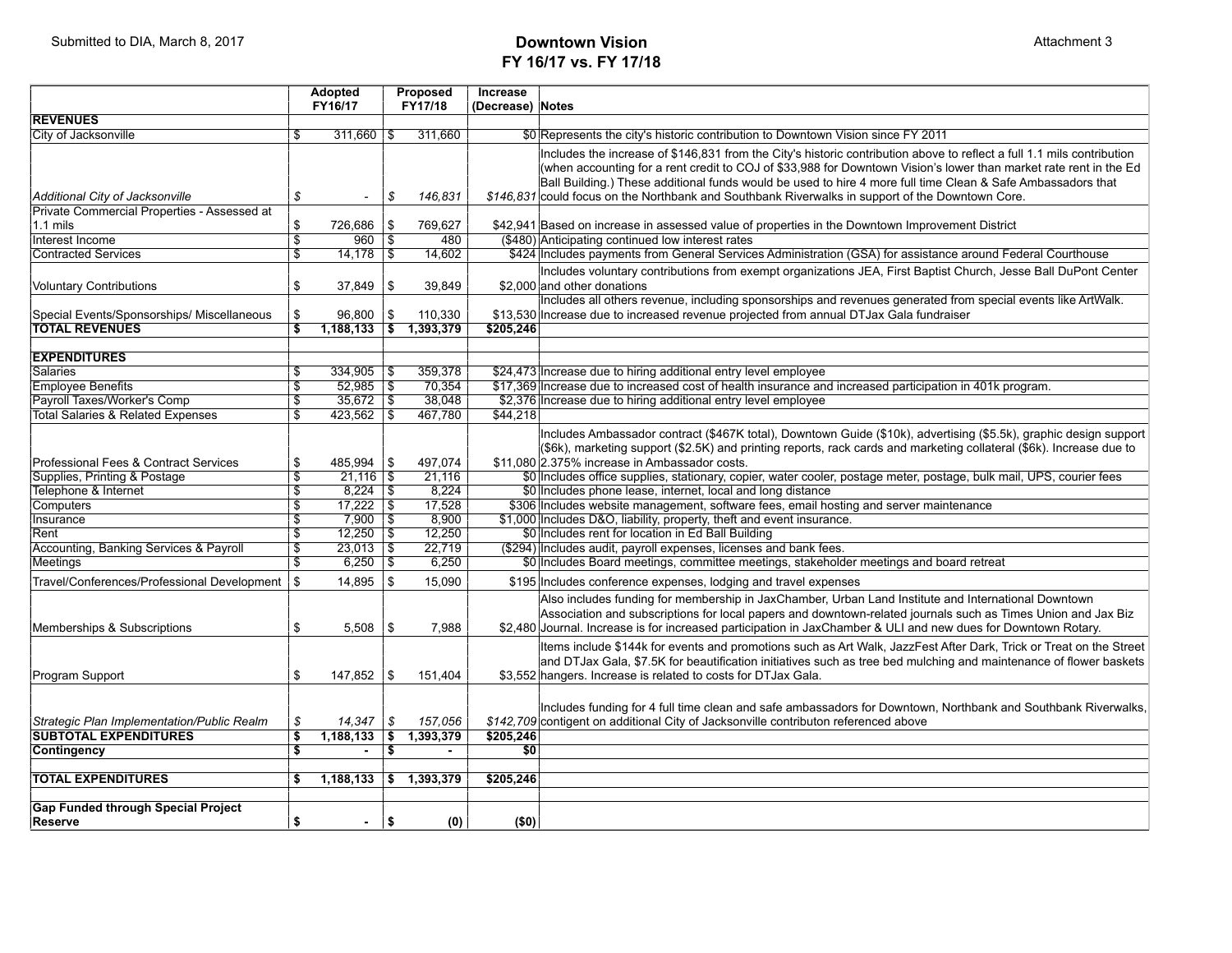# **FY 16/17 vs. FY 17/18**

|                                                  |                         | Adopted                     |                           | Proposed               | Increase         |                                                                                                                                                                                                                                  |
|--------------------------------------------------|-------------------------|-----------------------------|---------------------------|------------------------|------------------|----------------------------------------------------------------------------------------------------------------------------------------------------------------------------------------------------------------------------------|
| <b>REVENUES</b>                                  |                         | FY16/17                     |                           | FY17/18                | (Decrease) Notes |                                                                                                                                                                                                                                  |
| <b>City of Jacksonville</b>                      | \$                      | $311,660$ \$                |                           | 311,660                |                  |                                                                                                                                                                                                                                  |
|                                                  |                         |                             |                           |                        |                  | \$0 Represents the city's historic contribution to Downtown Vision since FY 2011                                                                                                                                                 |
|                                                  |                         |                             |                           |                        |                  | Includes the increase of \$146,831 from the City's historic contribution above to reflect a full 1.1 mils contribution                                                                                                           |
|                                                  |                         |                             |                           |                        |                  | (when accounting for a rent credit to COJ of \$33,988 for Downtown Vision's lower than market rate rent in the Ed<br>Ball Building.) These additional funds would be used to hire 4 more full time Clean & Safe Ambassadors that |
| Additional City of Jacksonville                  | \$                      | $\overline{\phantom{a}}$    | \$                        | 146,831                |                  | \$146,831 could focus on the Northbank and Southbank Riverwalks in support of the Downtown Core.                                                                                                                                 |
| Private Commercial Properties - Assessed at      |                         |                             |                           |                        |                  |                                                                                                                                                                                                                                  |
| $1.1$ mils                                       | \$                      | 726,686                     | \$                        | 769.627                |                  | \$42,941 Based on increase in assessed value of properties in the Downtown Improvement District                                                                                                                                  |
| Interest Income                                  | \$                      | $960$ \ \$                  |                           | 480                    |                  | (\$480) Anticipating continued low interest rates                                                                                                                                                                                |
| <b>Contracted Services</b>                       | $\overline{\mathbb{S}}$ | $14,178$ \\$                |                           | 14,602                 |                  | \$424 Includes payments from General Services Administration (GSA) for assistance around Federal Courthouse                                                                                                                      |
|                                                  |                         |                             |                           |                        |                  | Includes voluntary contributions from exempt organizations JEA, First Baptist Church, Jesse Ball DuPont Center                                                                                                                   |
| <b>Voluntary Contributions</b>                   | \$                      | 37,849                      | \$                        | 39,849                 |                  | \$2,000 and other donations                                                                                                                                                                                                      |
|                                                  |                         |                             |                           |                        |                  | Includes all others revenue, including sponsorships and revenues generated from special events like ArtWalk.                                                                                                                     |
| Special Events/Sponsorships/ Miscellaneous       | \$                      | 96,800                      | \$                        | 110,330                |                  | \$13,530 Increase due to increased revenue projected from annual DT Jax Gala fundraiser                                                                                                                                          |
| <b>TOTAL REVENUES</b>                            | $\overline{\mathbf{s}}$ | 1,188,133 \$ 1,393,379      |                           |                        | \$205.246        |                                                                                                                                                                                                                                  |
|                                                  |                         |                             |                           |                        |                  |                                                                                                                                                                                                                                  |
| <b>EXPENDITURES</b>                              |                         |                             |                           |                        |                  |                                                                                                                                                                                                                                  |
| <b>Salaries</b>                                  | \$                      | 334,905                     | 5                         | 359,378                |                  | \$24,473 Increase due to hiring additional entry level employee                                                                                                                                                                  |
| <b>Employee Benefits</b>                         | \$                      | $52,985$ \$                 |                           | 70,354                 |                  | \$17,369 Increase due to increased cost of health insurance and increased participation in 401k program.                                                                                                                         |
| Payroll Taxes/Worker's Comp                      | $\overline{\mathbb{S}}$ | $35,672$ \$                 |                           | 38.048                 |                  | \$2,376 Increase due to hiring additional entry level employee                                                                                                                                                                   |
| <b>Total Salaries &amp; Related Expenses</b>     | \$                      | $423,562$ \$                |                           | 467,780                | \$44,218         |                                                                                                                                                                                                                                  |
|                                                  |                         |                             |                           |                        |                  | Includes Ambassador contract (\$467K total), Downtown Guide (\$10k), advertising (\$5.5k), graphic design support                                                                                                                |
|                                                  |                         |                             |                           |                        |                  | (\$6k), marketing support (\$2.5K) and printing reports, rack cards and marketing collateral (\$6k). Increase due to                                                                                                             |
| Professional Fees & Contract Services            | \$                      | 485,994                     | \$                        | 497,074                |                  | \$11.080 2.375% increase in Ambassador costs.                                                                                                                                                                                    |
| Supplies, Printing & Postage                     | \$                      | $21.116$   \$               |                           | 21,116                 |                  | \$0 Includes office supplies, stationary, copier, water cooler, postage meter, postage, bulk mail, UPS, courier fees                                                                                                             |
| Telephone & Internet                             | $\overline{\mathbb{S}}$ |                             |                           | 8.224                  |                  | \$0 Includes phone lease, internet, local and long distance                                                                                                                                                                      |
| Computers                                        | \$                      | $17,222$ \$<br>$7.900$ \ \$ |                           | 17,528                 |                  | \$306 Includes website management, software fees, email hosting and server maintenance                                                                                                                                           |
| Insurance<br>Rent                                | \$<br>\$                | $12,250$ \$                 |                           | 8.900<br>12,250        |                  | \$1,000 Includes D&O, liability, property, theft and event insurance.<br>\$0 Includes rent for location in Ed Ball Building                                                                                                      |
| Accounting, Banking Services & Payroll           | $\overline{\mathbb{S}}$ | $23,013$ \$                 |                           | 22,719                 |                  | (\$294) Includes audit, payroll expenses, licenses and bank fees.                                                                                                                                                                |
| Meetings                                         | \$                      | $6,250$ \\$                 |                           | 6,250                  |                  | \$0 Includes Board meetings, committee meetings, stakeholder meetings and board retreat                                                                                                                                          |
|                                                  |                         |                             |                           |                        |                  |                                                                                                                                                                                                                                  |
| Travel/Conferences/Professional Development   \$ |                         | 14,895                      | \$                        | 15,090                 |                  | \$195 Includes conference expenses, lodging and travel expenses                                                                                                                                                                  |
|                                                  |                         |                             |                           |                        |                  | Also includes funding for membership in JaxChamber, Urban Land Institute and International Downtown                                                                                                                              |
|                                                  |                         |                             |                           |                        |                  | Association and subscriptions for local papers and downtown-related journals such as Times Union and Jax Biz                                                                                                                     |
| Memberships & Subscriptions                      | \$                      | 5,508                       | \$                        | 7,988                  |                  | \$2,480 Journal. Increase is for increased participation in JaxChamber & ULI and new dues for Downtown Rotary.                                                                                                                   |
|                                                  |                         |                             |                           |                        |                  | Items include \$144k for events and promotions such as Art Walk, JazzFest After Dark, Trick or Treat on the Street                                                                                                               |
|                                                  |                         |                             |                           |                        |                  | and DTJax Gala, \$7.5K for beautification initiatives such as tree bed mulching and maintenance of flower baskets                                                                                                                |
| Program Support                                  | \$                      | 147,852                     | \$                        | 151,404                |                  | \$3,552 hangers. Increase is related to costs for DTJax Gala.                                                                                                                                                                    |
|                                                  |                         |                             |                           |                        |                  |                                                                                                                                                                                                                                  |
|                                                  |                         |                             |                           |                        |                  | Includes funding for 4 full time clean and safe ambassadors for Downtown, Northbank and Southbank Riverwalks,                                                                                                                    |
| Strategic Plan Implementation/Public Realm       | \$                      | 14,347                      | \$                        | 157,056                |                  | \$142,709 contigent on additional City of Jacksonville contributon referenced above                                                                                                                                              |
| <b>SUBTOTAL EXPENDITURES</b>                     | \$<br>s.                | 1,188,133                   | $\overline{\mathfrak{s}}$ | 1,393,379              | \$205,246        |                                                                                                                                                                                                                                  |
| Contingency                                      |                         | $\blacksquare$              | s,                        | $\blacksquare$         | \$0              |                                                                                                                                                                                                                                  |
| <b>TOTAL EXPENDITURES</b>                        | \$                      |                             |                           | 1,188,133 \$ 1,393,379 | \$205,246        |                                                                                                                                                                                                                                  |
|                                                  |                         |                             |                           |                        |                  |                                                                                                                                                                                                                                  |
| <b>Gap Funded through Special Project</b>        |                         |                             |                           |                        |                  |                                                                                                                                                                                                                                  |
| <b>Reserve</b>                                   | \$                      | $\blacksquare$              | \$                        | (0)                    | (50)             |                                                                                                                                                                                                                                  |
|                                                  |                         |                             |                           |                        |                  |                                                                                                                                                                                                                                  |